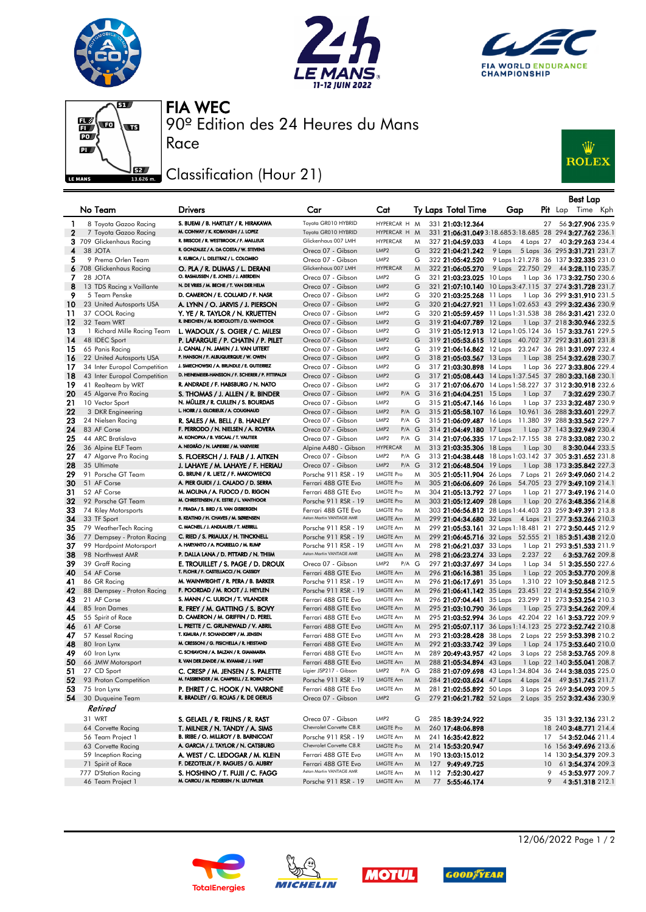







90º Edition des 24 Heures du Mans FIA WEC

## Classification (Hour 21)

Race



|              |                                              |                                                                              |                                              |                                              |        |                                                                                                                  |                                       |    | Best Lap                                                     |
|--------------|----------------------------------------------|------------------------------------------------------------------------------|----------------------------------------------|----------------------------------------------|--------|------------------------------------------------------------------------------------------------------------------|---------------------------------------|----|--------------------------------------------------------------|
|              | No Team                                      | <b>Drivers</b>                                                               | Car                                          | Cat                                          |        | Ty Laps Total Time                                                                                               | Gap                                   |    | <b>Pit</b> Lap Time Kph                                      |
| -1           | 8 Toyota Gazoo Racing                        | S. BUEMI / B. HARTLEY / R. HIRAKAWA                                          | Toyota GR010 HYBRID                          | HYPERCAR H M                                 |        | 331 21:03:12.364                                                                                                 |                                       | 27 | 56 3:27.906 235.9                                            |
| $\mathbf{2}$ | 7 Toyota Gazoo Racing                        | M. CONWAY / K. KOBAYASHI / J. LOPEZ                                          | Toyota GR010 HYBRID                          | HYPERCAR H                                   | M      | 331 21:06:31.049 3:18.685 3:18.685 28 294 3:27.762 236.1                                                         |                                       |    |                                                              |
|              | 3 709 Glickenhaus Racing                     | R. BRISCOE / R. WESTBROOK / F. MAILLEUX                                      | Glickenhaus 007 LMH                          | <b>HYPERCAR</b>                              | M      | 327 21:04:59.033                                                                                                 | 4 Laps                                |    | 4 Laps 27 40 3:29.263 234.4                                  |
| 4            | 38 JOTA                                      | R. GONZALEZ / A. DA COSTA / W. STEVENS                                       | Oreca 07 - Gibson                            | LMP <sub>2</sub>                             | G      | 322 21:04:21.242                                                                                                 | 9 Laps 5 Laps 36 295 3:31.721 231.7   |    |                                                              |
| 5            | 9 Prema Orlen Team                           | R. KUBICA / L. DELETRAZ / L. COLOMBO                                         | Oreca 07 - Gibson                            | LMP <sub>2</sub>                             | G      | 322 21:05:42.520                                                                                                 | 9 Laps 1:21.278 36 137 3:32.335 231.0 |    |                                                              |
|              | 6 708 Glickenhaus Racing                     | O. PLA / R. DUMAS / L. DERANI                                                | Glickenhaus 007 LMH                          | <b>HYPERCAR</b>                              | M      | 322 21:06:05.270                                                                                                 | 9 Laps 22.750 29 44 3:28.110 235.7    |    |                                                              |
| 7            | 28 JOTA                                      | O. RASMUSSEN / E. JONES / J. ABERDEIN                                        | Oreca 07 - Gibson                            | LMP <sub>2</sub>                             | G      | 321 21:03:23.025 10 Laps                                                                                         |                                       |    | 1 Lap 36 173 3:32.750 230.6                                  |
| 8            | 13 TDS Racing x Vaillante                    | N. DE VRIES / M. BECHE / T. VAN DER HELM                                     | Oreca 07 - Gibson                            | LMP <sub>2</sub>                             | G      | 321 21:07:10.140 10 Laps 3:47.115 37 274 3:31.728 231.7                                                          |                                       |    |                                                              |
| 9            | 5 Team Penske                                | D. CAMERON / E. COLLARD / F. NASR                                            | Oreca 07 - Gibson                            | LMP <sub>2</sub>                             | G      | 320 21:03:25.268 11 Laps                                                                                         |                                       |    | 1 Lap 36 299 <b>3:31.910</b> 231.5                           |
| 10           | 23 United Autosports USA                     | A. LYNN / O. JARVIS / J. PIERSON                                             | Oreca 07 - Gibson                            | LMP <sub>2</sub>                             | G      | 320 21:04:27.921 11 Laps 1:02.653 43 299 3:32.436 230.9                                                          |                                       |    |                                                              |
| 11           | 37 COOL Racing                               | y. Ye / R. Taylor / N. Kruetten<br>R. INEICHEN / M. BORTOLOTTI / D. VANTHOOR | Oreca 07 - Gibson                            | LMP <sub>2</sub><br>LMP <sub>2</sub>         | G      | 320 21:05:59.459 11 Laps 1:31.538 38 286 3:31.421 232.0                                                          |                                       |    |                                                              |
| 12<br>13     | 32 Team WRT                                  |                                                                              | Oreca 07 - Gibson<br>Oreca 07 - Gibson       | LMP <sub>2</sub>                             | G<br>G | 319 21:04:07.789 12 Laps                                                                                         |                                       |    | 1 Lap 37 218 <b>3:30.946</b> 232.5                           |
| 14           | 1 Richard Mille Racing Team<br>48 IDEC Sport | L. WADOUX / S. OGIER / C. MILESI<br>P. LAFARGUE / P. CHATIN / P. PILET       | Oreca 07 - Gibson                            | LMP <sub>2</sub>                             | G      | 319 21:05:12.913 12 Laps 1:05.124 36 157 3:33.761 229.5<br>319 21:05:53.615 12 Laps 40.702 37 292 3:31.601 231.8 |                                       |    |                                                              |
| 15           | 65 Panis Racing                              | J. CANAL / N. JAMIN / J. VAN UITERT                                          | Oreca 07 - Gibson                            | LMP <sub>2</sub>                             | G      | 319 21:06:16.862 12 Laps 23.247 36 281 3:31.097 232.4                                                            |                                       |    |                                                              |
| 16           | 22 United Autosports USA                     | P. HANSON / F. ALBUQUERQUE / W. OWEN                                         | Oreca 07 - Gibson                            | LMP <sub>2</sub>                             | G      | 318 21:05:03.567 13 Laps                                                                                         |                                       |    | 1 Lap 38 254 3:32.628 230.7                                  |
| 17           | 34 Inter Europol Competition                 | J. SMIECHOWSKI / A. BRUNDLE / E. GUTIERREZ                                   | Oreca 07 - Gibson                            | LMP <sub>2</sub>                             | G      | 317 21:03:30.898 14 Laps                                                                                         |                                       |    | 1 Lap 36 227 3:33.806 229.4                                  |
| 18           | 43 Inter Europol Competition                 | D. HEINEMEIER-HANSSON / F. SCHERER / P. FITTIPALDI                           | Oreca 07 - Gibson                            | LMP <sub>2</sub>                             | G      | 317 21:05:08.443 14 Laps 1:37.545 37 280 3:33.168 230.1                                                          |                                       |    |                                                              |
| 19           | 41 Realteam by WRT                           | R. ANDRADE / F. HABSBURG / N. NATO                                           | Oreca 07 - Gibson                            | LMP <sub>2</sub>                             | G      | 317 21:07:06.670 14 Laps 1:58.227 37 312 3:30.918 232.6                                                          |                                       |    |                                                              |
| 20           | 45 Algarve Pro Racing                        | S. THOMAS / J. ALLEN / R. BINDER                                             | Oreca 07 - Gibson                            | LMP <sub>2</sub><br>$P/A$ $G$                |        | 316 21:04:04.251 15 Laps                                                                                         | 1 Lap 37                              |    | 73:32.629 230.7                                              |
| 21           | 10 Vector Sport                              | N. MÜLLER / R. CULLEN / S. BOURDAIS                                          | Oreca 07 - Gibson                            | LMP <sub>2</sub>                             | G      | 315 21:05:47.146 16 Laps                                                                                         |                                       |    | 1 Lap 37 233 3:32.487 230.9                                  |
| 22           | 3 DKR Engineering                            | L. HORR / J. GLORIEUX / A. COUGNAUD                                          | Oreca 07 - Gibson                            | LMP <sub>2</sub><br>$P/A$ $G$                |        | 315 21:05:58.107 16 Laps 10.961 36 288 3:33.601 229.7                                                            |                                       |    |                                                              |
| 23           | 24 Nielsen Racing                            | R. SALES / M. BELL / B. HANLEY                                               | Oreca 07 - Gibson                            | LMP <sub>2</sub><br>P/A G                    |        | 315 21:06:09.487 16 Laps 11.380 39 288 3:33.562 229.7                                                            |                                       |    |                                                              |
| 24           | 83 AF Corse                                  | F. PERRODO / N. NIELSEN / A. ROVERA<br>M. KONOPKA / B. VISCAAL / T. VAUTIER  | Oreca 07 - Gibson                            | LMP <sub>2</sub><br>$P/A$ $G$                |        | 314 21:04:49.180 17 Laps                                                                                         |                                       |    | 1 Lap 37 143 3:32.949 230.4                                  |
| 25           | 44 ARC Bratislava                            | A. NEGRÃO / N. LAPIERRE / M. VAXIVIERE                                       | Oreca 07 - Gibson                            | LMP <sub>2</sub><br>P/A G                    |        | 314 21:07:06.335 17 Laps 2:17.155 38 278 3:33.082 230.2                                                          |                                       |    |                                                              |
| 26           | 36 Alpine ELF Team                           |                                                                              | Alpine A480 - Gibson<br>Oreca 07 - Gibson    | <b>HYPERCAR</b><br>LMP <sub>2</sub><br>P/A G | M      | 313 21:03:35.306 18 Laps                                                                                         | $1$ Lap $30$                          |    | 83:30.044 233.5                                              |
| 27<br>28     | 47 Algarve Pro Racing<br>35 Ultimate         | S. FLOERSCH / J. FALB / J. AITKEN<br>J. LAHAYE / M. LAHAYE / F. HERIAU       | Oreca 07 - Gibson                            | LMP <sub>2</sub><br>$P/A$ $G$                |        | 313 21:04:38.448 18 Laps 1:03.142 37 305 3:31.652 231.8<br>312 21:06:48.504 19 Laps                              |                                       |    | 1 Lap 38 173 3:35.842 227.3                                  |
| 29           | 91 Porsche GT Team                           | G. BRUNI / R. LIETZ / F. MAKOWIECKI                                          | Porsche 911 RSR - 19                         | <b>LMGTE Pro</b>                             | M      | 305 21:05:11.904 26 Laps                                                                                         |                                       |    | 7 Laps 21 269 3:49.060 214.2                                 |
| 30           | 51 AF Corse                                  | A. PIER GUIDI / J. CALADO / D. SERRA                                         | Ferrari 488 GTE Evo                          | <b>LMGTE Pro</b>                             | M      | 305 21:06:06.609 26 Laps 54.705 23 279 3:49.109 214.1                                                            |                                       |    |                                                              |
| 31           | 52 AF Corse                                  | M. MOLINA / A. FUOCO / D. RIGON                                              | Ferrari 488 GTE Evo                          | <b>LMGTE Pro</b>                             | M      | 304 21:05:13.792 27 Laps                                                                                         |                                       |    | 1 Lap 21 277 3:49.196 214.0                                  |
| 32           | 92 Porsche GT Team                           | M. CHRISTENSEN / K. ESTRE / L. VANTHOOR                                      | Porsche 911 RSR - 19                         | <b>LMGTE Pro</b>                             | M      | 303 21:05:12.409 28 Laps                                                                                         |                                       |    | 1 Lap 20 276 3:48.356 214.8                                  |
| 33           | 74 Riley Motorsports                         | F. FRAGA / S. BIRD / S. VAN GISBERGEN                                        | Ferrari 488 GTE Evo                          | <b>LMGTE Pro</b>                             | M      | 303 21:06:56.812 28 Laps 1:44.403 23 259 3:49.391 213.8                                                          |                                       |    |                                                              |
| 34           | 33 TF Sport                                  | B. KEATING / H. CHAVES / M. SØRENSEN                                         | Aston Martin VANTAGE AMR                     | LMGTE Am                                     | M      | 299 21:04:34.680 32 Laps 4 Laps 21 277 3:53.266 210.3                                                            |                                       |    |                                                              |
| 35           | 79 WeatherTech Racing                        | C. MACNEIL / J. ANDLAUER / T. MERRILL                                        | Porsche 911 RSR - 19                         | LMGTE Am                                     | M      | 299 21:05:53.161 32 Laps 1:18.481 21 272 3:50.445 212.9                                                          |                                       |    |                                                              |
| 36           | 77 Dempsey - Proton Racing                   | C. RIED / S. PRIAULX / H. TINCKNELL                                          | Porsche 911 RSR - 19                         | LMGTE Am                                     | M      | 299 21:06:45.716 32 Laps 52.555 21 185 3:51.438 212.0                                                            |                                       |    |                                                              |
| 37           | 99 Hardpoint Motorsport                      | A. HARYANTO / A. PICARIELLO / M. RUMP                                        | Porsche 911 RSR - 19                         | LMGTE Am                                     | M      | 298 21:06:21.037 33 Laps                                                                                         |                                       |    | 1 Lap 21 293 3:51.533 211.9                                  |
| 38           | 98 Northwest AMR                             | P. DALLA LANA / D. PITTARD / N. THIIM                                        | Aston Martin VANTAGE AMR                     | LMGTE Am                                     | M      | 298 21:06:23.274 33 Laps                                                                                         | 2.237 22                              |    | 6 3:53.762 209.8                                             |
| 39           | 39 Graff Racing                              | E. TROUILLET / S. PAGE / D. DROUX<br>T. FLOHR / F. CASTELLACCI / N. CASSIDY  | Oreca 07 - Gibson                            | LMP2<br>$P/A$ $G$                            |        | 297 21:03:37.697 34 Laps                                                                                         |                                       |    | 1 Lap 34 51 3:35.550 227.6                                   |
| 40           | 54 AF Corse                                  | M. WAINWRIGHT / R. PERA / B. BARKER                                          | Ferrari 488 GTE Evo                          | LMGTE Am<br><b>LMGTE Am</b>                  | M      | 296 21:06:16.381 35 Laps                                                                                         |                                       |    | 1 Lap 22 205 3:53.770 209.8                                  |
| 41<br>42     | 86 GR Racing<br>88 Dempsey - Proton Racing   | F. POORDAD / M. ROOT / J. HEYLEN                                             | Porsche 911 RSR - 19<br>Porsche 911 RSR - 19 | LMGTE Am                                     | M<br>M | 296 21:06:17.691 35 Laps<br>296 <b>21:06:41.142</b> 35 Laps                                                      |                                       |    | 1.310 22 109 3:50.848 212.5<br>23.451 22 214 3:52.554 210.9  |
| 43           | 21 AF Corse                                  | S. MANN / C. ULRICH / T. VILANDER                                            | Ferrari 488 GTE Evo                          | LMGTE Am                                     | M      | 296 21:07:04.441 35 Laps                                                                                         |                                       |    | 23.299 21 273 3:53.254 210.3                                 |
| 44           | 85 Iron Dames                                | R. FREY / M. GATTING / S. BOVY                                               | Ferrari 488 GTE Evo                          | LMGTE Am                                     | M      | 295 21:03:10.790 36 Laps                                                                                         |                                       |    | 1 Lap 25 273 3:54.262 209.4                                  |
| 45           | 55 Spirit of Race                            | D. CAMERON / M. GRIFFIN / D. PEREL                                           | Ferrari 488 GTE Evo                          | LMGTE Am                                     | M      | 295 21:03:52.994 36 Laps 42.204 22 161 3:53.722 209.9                                                            |                                       |    |                                                              |
| 46           | 61 AF Corse                                  | L. PRETTE / C. GRUNEWALD / V. ABRIL                                          | Ferrari 488 GTE Evo                          | LMGTE Am                                     | M      | 295 21:05:07.117 36 Laps 1:14.123 25 272 3:52.742 210.8                                                          |                                       |    |                                                              |
| 47           | 57 Kessel Racing                             | T. KIMURA / F. SCHANDORFF / M. JENSEN                                        | Ferrari 488 GTE Evo                          | LMGTE Am                                     | M      | 293 21:03:28.428 38 Laps                                                                                         |                                       |    | 2 Laps 22 259 3:53.398 210.2                                 |
| 48           | 80 Iron Lynx                                 | M. CRESSONI / G. FISICHELLA / R. HEISTAND                                    | Ferrari 488 GTE Evo                          | LMGTE Am                                     | M      | 292 21:03:33.742 39 Laps                                                                                         |                                       |    | 1 Lap 24 175 3:53.640 210.0                                  |
| 49           | 60 Iron Lynx                                 | C. SCHIAVONI / A. BALZAN / R. GIAMMARIA                                      | Ferrari 488 GTE Evo                          | <b>LMGTE Am</b>                              | M      | 289 20:49:43.957 42 Laps                                                                                         |                                       |    | 3 Laps 22 258 3:53.765 209.8                                 |
| 50           | 66 JMW Motorsport                            | R. VAN DER ZANDE / M. KVAMME / J. HART                                       | Ferrari 488 GTE Evo                          | LMGTE Am                                     | M      | 288 21:05:34.894 43 Laps                                                                                         |                                       |    | 1 Lap 22 140 3:55.041 208.7                                  |
| 51           | 27 CD Sport                                  | C. CRESP / M. JENSEN / S. PALETTE                                            | Ligier JSP217 - Gibson                       | LMP <sub>2</sub><br>$P/A$ $G$                |        | 288 21:07:09.698 43 Laps 1:34.804 36 244 3:38.035 225.0                                                          |                                       |    |                                                              |
| 52           | 93 Proton Competition                        | M. FASSBENDER / M. CAMPBELL / Z. ROBICHON                                    | Porsche 911 RSR - 19                         | LMGTE Am                                     | M      | 284 21:02:03.624 47 Laps                                                                                         |                                       |    | 4 Laps 24 49 3:51.745 211.7                                  |
| 53           | 75 Iron Lynx<br>30 Duqueine Team             | P. EHRET / C. HOOK / N. VARRONE<br>R. BRADLEY / G. ROJAS / R. DE GERUS       | Ferrari 488 GTE Evo<br>Oreca 07 - Gibson     | LMGTE Am<br>LMP <sub>2</sub>                 | M      | 281 21:02:55.892 50 Laps                                                                                         |                                       |    | 3 Laps 25 269 3:54.093 209.5<br>2 Laps 35 252 3:32.436 230.9 |
| 54 -         |                                              |                                                                              |                                              |                                              | G      | 279 21:06:21.782 52 Laps                                                                                         |                                       |    |                                                              |
|              | Retired                                      |                                                                              |                                              |                                              |        |                                                                                                                  |                                       |    |                                                              |
|              | 31 WRT                                       | S. GELAEL / R. FRIJNS / R. RAST                                              | Oreca 07 - Gibson                            | LMP <sub>2</sub>                             | G      | 285 18:39:24.922                                                                                                 |                                       |    | 35 131 3:32.136 231.2                                        |
|              | 64 Corvette Racing                           | T. MILNER / N. TANDY / A. SIMS                                               | Chevrolet Corvette C8.R                      | <b>LMGTE Pro</b>                             | M      | 260 17:48:06.898                                                                                                 |                                       |    | 18 240 3:48.771 214.4                                        |
|              | 56 Team Project 1                            | B. IRIBE / O. MILLROY / B. BARNICOAT                                         | Porsche 911 RSR - 19                         | LMGTE Am                                     | M      | 241 16:35:42.822                                                                                                 |                                       | 17 | 54 3:52.046 211.4                                            |
|              | 63 Corvette Racing                           | A. GARCIA / J. TAYLOR / N. CATSBURG                                          | Chevrolet Corvette C8.R                      | <b>LMGTE Pro</b><br>LMGTE Am                 | M      | 214 15:53:20.947                                                                                                 |                                       |    | 16 156 3:49.696 213.6                                        |
|              | 59 Inception Racing<br>71 Spirit of Race     | A. WEST / C. LEDOGAR / M. KLEIN<br>F. DEZOTEUX / P. RAGUES / G. AUBRY        | Ferrari 488 GTE Evo<br>Ferrari 488 GTE Evo   | LMGTE Am                                     | M<br>M | 190 13:03:15.012<br>127 9:49:49.725                                                                              |                                       | 10 | 14 130 3:54.379 209.3<br>61 3:54.374 209.3                   |
|              | 777 D'Station Racing                         | S. HOSHINO / T. FUJII / C. FAGG                                              | Aston Martin VANTAGE AMR                     | LMGTE Am                                     | M      | 112 7:52:30.427                                                                                                  |                                       | 9  | 45 3:53.977 209.7                                            |
|              | 46 Team Project 1                            | M. CAIROLI / M. PEDERSEN / N. LEUTWILER                                      | Porsche 911 RSR - 19                         | LMGTE Am                                     | M      | 77 5:55:46.174                                                                                                   |                                       | 9  | 4 3:51.318 212.1                                             |
|              |                                              |                                                                              |                                              |                                              |        |                                                                                                                  |                                       |    |                                                              |









12/06/2022 Page 1 / 2